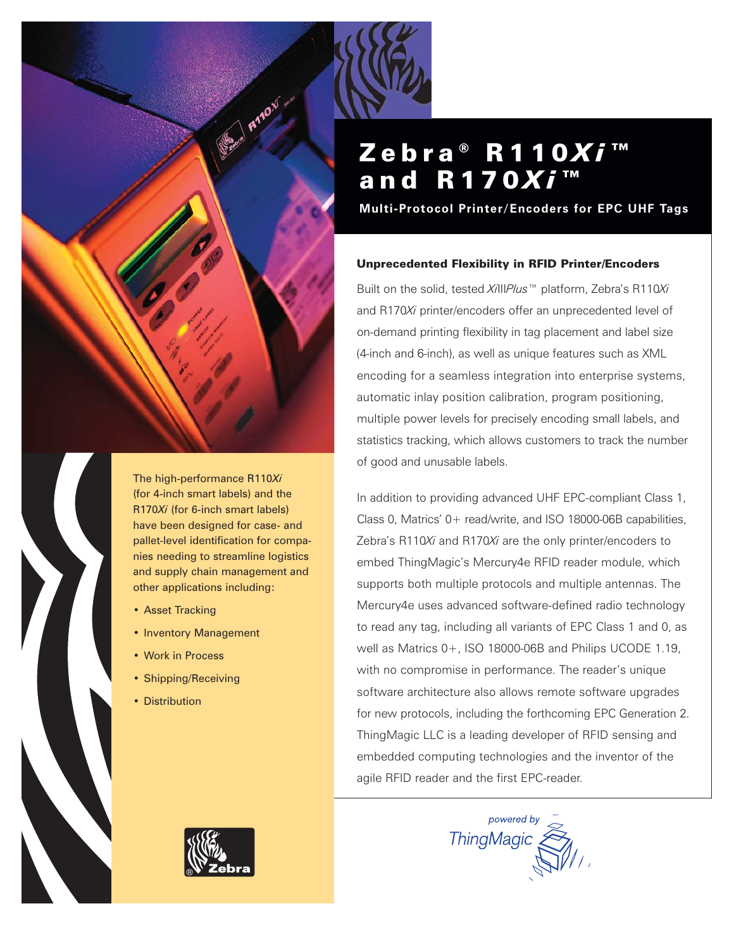



The high-performance R110*Xi* (for 4-inch smart labels) and the R170*Xi* (for 6-inch smart labels) have been designed for case- and pallet-level identification for companies needing to streamline logistics and supply chain management and other applications including:

- Asset Tracking
- Inventory Management
- Work in Process
- Shipping/Receiving
- Distribution

# Zebra<sup>®</sup> R110Xi<sup>™</sup> and **R170Xi™**

**Multi-Protocol Printer/Encoders for EPC UHF Tags**

### Unprecedented Flexibility in RFID Printer/Encoders

Built on the solid, tested *Xi*III*Plus™* platform, Zebra's R110*Xi* and R170*Xi* printer/encoders offer an unprecedented level of on-demand printing flexibility in tag placement and label size (4-inch and 6-inch), as well as unique features such as XML encoding for a seamless integration into enterprise systems, automatic inlay position calibration, program positioning, multiple power levels for precisely encoding small labels, and statistics tracking, which allows customers to track the number of good and unusable labels.

In addition to providing advanced UHF EPC-compliant Class 1, Class 0, Matrics' 0+ read/write, and ISO 18000-06B capabilities, Zebra's R110*Xi* and R170*Xi* are the only printer/encoders to embed ThingMagic's Mercury4e RFID reader module, which supports both multiple protocols and multiple antennas. The Mercury4e uses advanced software-defined radio technology to read any tag, including all variants of EPC Class 1 and 0, as well as Matrics 0+, ISO 18000-06B and Philips UCODE 1.19, with no compromise in performance. The reader's unique software architecture also allows remote software upgrades for new protocols, including the forthcoming EPC Generation 2. ThingMagic LLC is a leading developer of RFID sensing and embedded computing technologies and the inventor of the agile RFID reader and the first EPC-reader.



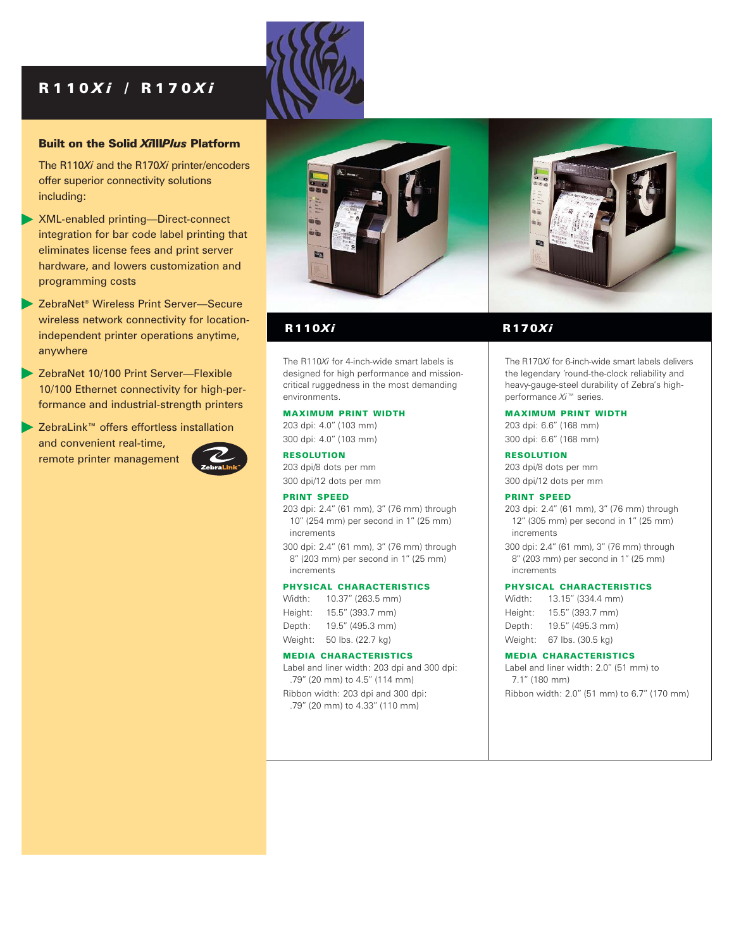### R110 *X i* / R170 *X i*

#### Built on the Solid *Xi*III*Plus* Platform

The R110*Xi* and the R170*Xi* printer/encoders offer superior connectivity solutions including:

- XML-enabled printing—Direct-connect integration for bar code label printing that eliminates license fees and print server hardware, and lowers customization and programming costs
- ▶ ZebraNet<sup>®</sup> Wireless Print Server-Secure wireless network connectivity for locationindependent printer operations anytime, anywhere
- ZebraNet 10/100 Print Server—Flexible 10/100 Ethernet connectivity for high-performance and industrial-strength printers
- ZebraLink™ offers effortless installation and convenient real-time, remote printer management







The R110*Xi* for 4-inch-wide smart labels is designed for high performance and missioncritical ruggedness in the most demanding environments.

#### MAXIMUM PRINT WIDTH

203 dpi: 4.0" (103 mm) 300 dpi: 4.0" (103 mm)

RESOLUTION 203 dpi/8 dots per mm 300 dpi/12 dots per mm

#### PRINT SPEED

203 dpi: 2.4" (61 mm), 3" (76 mm) through 10" (254 mm) per second in 1" (25 mm) increments

300 dpi: 2.4" (61 mm), 3" (76 mm) through 8" (203 mm) per second in 1" (25 mm) increments

#### PHYSICAL CHARACTERISTICS

| Width:  | 10.37" (263.5 mm) |
|---------|-------------------|
| Height: | 15.5" (393.7 mm)  |
| Depth:  | 19.5" (495.3 mm)  |
| Weight: | 50 lbs. (22.7 kg) |

#### MEDIA CHARACTERISTICS

Label and liner width: 203 dpi and 300 dpi: .79" (20 mm) to 4.5" (114 mm)

Ribbon width: 203 dpi and 300 dpi: .79" (20 mm) to 4.33" (110 mm)

### R110*Xi* R170*Xi*

The R170*Xi* for 6-inch-wide smart labels delivers the legendary 'round-the-clock reliability and heavy-gauge-steel durability of Zebra's highperformance *Xi™* series.

#### MAXIMUM PRINT WIDTH

203 dpi: 6.6" (168 mm) 300 dpi: 6.6" (168 mm)

RESOLUTION

203 dpi/8 dots per mm 300 dpi/12 dots per mm

#### PRINT SPEED

203 dpi: 2.4" (61 mm), 3" (76 mm) through 12" (305 mm) per second in 1" (25 mm) increments 300 dpi: 2.4" (61 mm), 3" (76 mm) through

8" (203 mm) per second in 1" (25 mm) increments

#### PHYSICAL CHARACTERISTICS

| Width:  | 13.15" (334.4 mm) |
|---------|-------------------|
| Height: | 15.5" (393.7 mm)  |
| Depth:  | 19.5" (495.3 mm)  |
| Weight: | 67 lbs. (30.5 kg) |

#### MEDIA CHARACTERISTICS

Label and liner width: 2.0" (51 mm) to 7.1" (180 mm) Ribbon width: 2.0" (51 mm) to 6.7" (170 mm)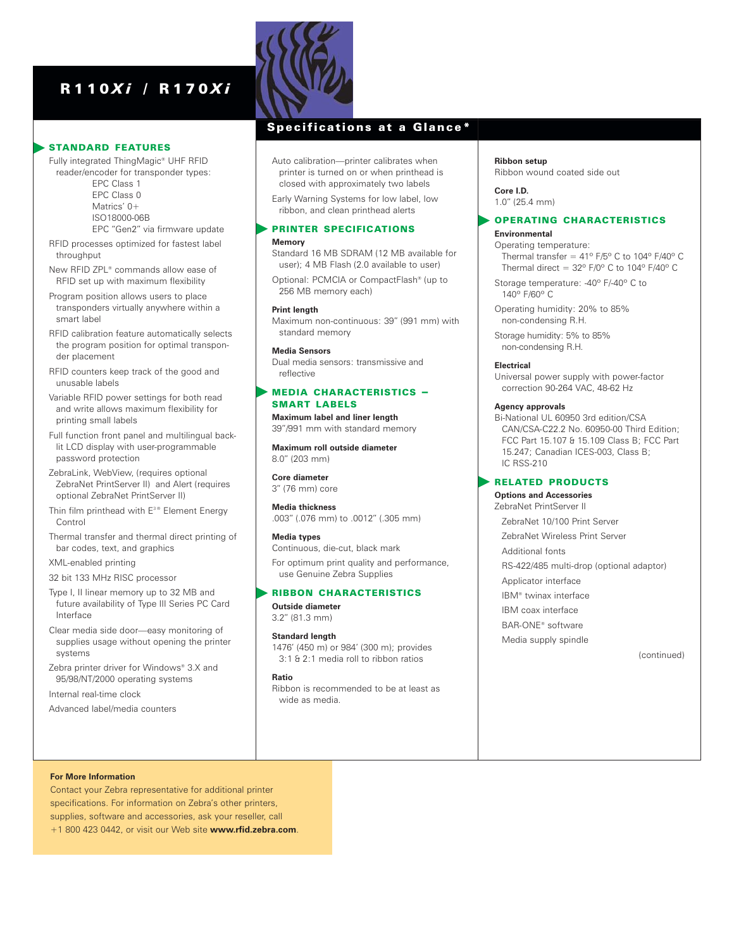### R110 *X i* / R170 *X i*

#### STANDARD FEATURES

Fully integrated ThingMagic® UHF RFID reader/encoder for transponder types: EPC Class 1 EPC Class 0

> Matrics' 0+ ISO18000-06B

EPC "Gen2" via firmware update

RFID processes optimized for fastest label throughput

New RFID ZPL® commands allow ease of RFID set up with maximum flexibility

- Program position allows users to place transponders virtually anywhere within a smart label
- RFID calibration feature automatically selects the program position for optimal transponder placement
- RFID counters keep track of the good and unusable labels
- Variable RFID power settings for both read and write allows maximum flexibility for printing small labels
- Full function front panel and multilingual backlit LCD display with user-programmable password protection
- ZebraLink, WebView, (requires optional ZebraNet PrintServer II) and Alert (requires optional ZebraNet PrintServer II)
- Thin film printhead with E<sup>3®</sup> Element Energy Control
- Thermal transfer and thermal direct printing of bar codes, text, and graphics
- XML-enabled printing

32 bit 133 MHz RISC processor

- Type I, II linear memory up to 32 MB and future availability of Type III Series PC Card Interface
- Clear media side door—easy monitoring of supplies usage without opening the printer systems
- Zebra printer driver for Windows® 3.X and 95/98/NT/2000 operating systems

Internal real-time clock

Advanced label/media counters



### Specifications at a Glance\*

Auto calibration—printer calibrates when printer is turned on or when printhead is closed with approximately two labels

Early Warning Systems for low label, low ribbon, and clean printhead alerts

#### PRINTER SPECIFICATIONS

#### **Memory**

Standard 16 MB SDRAM (12 MB available for user); 4 MB Flash (2.0 available to user)

Optional: PCMCIA or CompactFlash® (up to 256 MB memory each)

#### **Print length**

Maximum non-continuous: 39" (991 mm) with standard memory

#### **Media Sensors**

Dual media sensors: transmissive and reflective

#### MEDIA CHARACTERISTICS – SMART LABELS

**Maximum label and liner length** 39"/991 mm with standard memory

**Maximum roll outside diameter**  8.0" (203 mm)

**Core diameter**  3" (76 mm) core

**Media thickness** .003" (.076 mm) to .0012" (.305 mm)

#### **Media types**

Continuous, die-cut, black mark For optimum print quality and performance,

use Genuine Zebra Supplies

#### RIBBON CHARACTERISTICS

**Outside diameter** 3.2" (81.3 mm)

### **Standard length**

1476' (450 m) or 984' (300 m); provides 3:1 & 2:1 media roll to ribbon ratios

#### **Ratio**

Ribbon is recommended to be at least as wide as media.

#### **Ribbon setup** Ribbon wound coated side out

**Core I.D.** 1.0" (25.4 mm)

#### OPERATING CHARACTERISTICS **Environmental**

### Operating temperature:

Thermal transfer =  $41^{\circ}$  F/5° C to 104° F/40° C Thermal direct =  $32^{\circ}$  F/0° C to 104° F/40° C

Storage temperature: -40º F/-40º C to 140º F/60º C

Operating humidity: 20% to 85% non-condensing R.H.

Storage humidity: 5% to 85% non-condensing R.H.

#### **Electrical**

Universal power supply with power-factor correction 90-264 VAC, 48-62 Hz

#### **Agency approvals**

Bi-National UL 60950 3rd edition/CSA CAN/CSA-C22.2 No. 60950-00 Third Edition; FCC Part 15.107 & 15.109 Class B; FCC Part 15.247; Canadian ICES-003, Class B; IC RSS-210

#### RELATED PRODUCTS

#### **Options and Accessories** ZebraNet PrintServer II

ZebraNet 10/100 Print Server

ZebraNet Wireless Print Server

Additional fonts

RS-422/485 multi-drop (optional adaptor)

- Applicator interface
- IBM® twinax interface
- IBM coax interface
- BAR-ONE® software
- Media supply spindle

(continued)

#### **For More Information**

Contact your Zebra representative for additional printer specifications. For information on Zebra's other printers, supplies, software and accessories, ask your reseller, call +1 800 423 0442, or visit our Web site **www.rfid.zebra.com**.